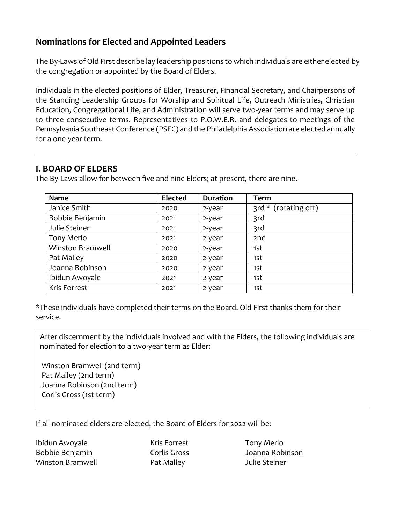## **Nominations for Elected and Appointed Leaders**

The By-Laws of Old First describe lay leadership positions to which individuals are either elected by the congregation or appointed by the Board of Elders.

Individuals in the elected positions of Elder, Treasurer, Financial Secretary, and Chairpersons of the Standing Leadership Groups for Worship and Spiritual Life, Outreach Ministries, Christian Education, Congregational Life, and Administration will serve two-year terms and may serve up to three consecutive terms. Representatives to P.O.W.E.R. and delegates to meetings of the Pennsylvania Southeast Conference (PSEC) and the Philadelphia Association are elected annually for a one-year term.

### **I. BOARD OF ELDERS**

The By-Laws allow for between five and nine Elders; at present, there are nine.

| <b>Name</b>             | <b>Elected</b> | <b>Duration</b> | <b>Term</b>               |
|-------------------------|----------------|-----------------|---------------------------|
| Janice Smith            | 2020           | 2-year          | (rotating off)<br>3rd $*$ |
| Bobbie Benjamin         | 2021           | 2-year          | 3rd                       |
| Julie Steiner           | 2021           | 2-year          | 3rd                       |
| Tony Merlo              | 2021           | 2-year          | 2 <sub>nd</sub>           |
| <b>Winston Bramwell</b> | 2020           | 2-year          | 1st                       |
| Pat Malley              | 2020           | 2-year          | 1st                       |
| Joanna Robinson         | 2020           | 2-year          | 1st                       |
| Ibidun Awoyale          | 2021           | 2-year          | 1st                       |
| Kris Forrest            | 2021           | 2-year          | 1st                       |

\*These individuals have completed their terms on the Board. Old First thanks them for their service.

After discernment by the individuals involved and with the Elders, the following individuals are nominated for election to a two-year term as Elder:

 Winston Bramwell (2nd term) Pat Malley (2nd term) Joanna Robinson (2nd term) Corlis Gross (1st term)

If all nominated elders are elected, the Board of Elders for 2022 will be:

Ibidun Awoyale **Kris Forrest** Tony Merlo Bobbie Benjamin Corlis Gross Joanna Robinson Winston Bramwell **Nat Malley** Pat Malley **Pat Malley Part Malley** Alle Steiner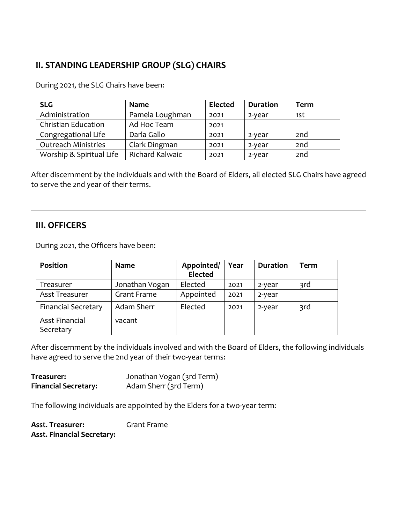# **II. STANDING LEADERSHIP GROUP (SLG) CHAIRS**

During 2021, the SLG Chairs have been:

| <b>SLG</b>                 | <b>Name</b>     | <b>Elected</b> | <b>Duration</b> | <b>Term</b>     |
|----------------------------|-----------------|----------------|-----------------|-----------------|
| Administration             | Pamela Loughman | 2021           | 2-year          | 1st             |
| Christian Education        | Ad Hoc Team     | 2021           |                 |                 |
| Congregational Life        | Darla Gallo     | 2021           | 2-year          | 2nd             |
| <b>Outreach Ministries</b> | Clark Dingman   | 2021           | 2-year          | 2 <sub>nd</sub> |
| Worship & Spiritual Life   | Richard Kalwaic | 2021           | 2-year          | 2 <sub>nd</sub> |

After discernment by the individuals and with the Board of Elders, all elected SLG Chairs have agreed to serve the 2nd year of their terms.

### **III. OFFICERS**

During 2021, the Officers have been:

| Position                           | Name               | Appointed/<br><b>Elected</b> | Year | <b>Duration</b> | Term |
|------------------------------------|--------------------|------------------------------|------|-----------------|------|
| Treasurer                          | Jonathan Vogan     | Elected                      | 2021 | 2-year          | 3rd  |
| <b>Asst Treasurer</b>              | <b>Grant Frame</b> | Appointed                    | 2021 | 2-year          |      |
| <b>Financial Secretary</b>         | Adam Sherr         | Elected                      | 2021 | 2-year          | 3rd  |
| <b>Asst Financial</b><br>Secretary | vacant             |                              |      |                 |      |

After discernment by the individuals involved and with the Board of Elders, the following individuals have agreed to serve the 2nd year of their two-year terms:

| Treasurer:                  | Jonathan Vogan (3rd Term) |
|-----------------------------|---------------------------|
| <b>Financial Secretary:</b> | Adam Sherr (3rd Term)     |

The following individuals are appointed by the Elders for a two-year term:

**Asst. Treasurer:** Grant Frame **Asst. Financial Secretary:**